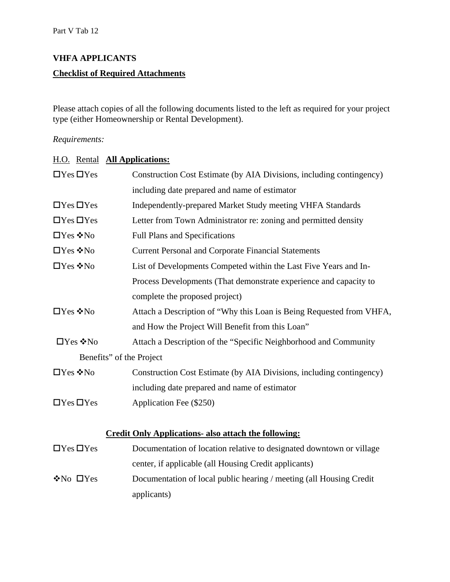# **VHFA APPLICANTS Checklist of Required Attachments**

Please attach copies of all the following documents listed to the left as required for your project type (either Homeownership or Rental Development).

#### *Requirements:*

| H.O. Rental <b>All Applications:</b> |                                                                      |
|--------------------------------------|----------------------------------------------------------------------|
| $\Box$ Yes $\Box$ Yes                | Construction Cost Estimate (by AIA Divisions, including contingency) |
|                                      | including date prepared and name of estimator                        |
| $\Box$ Yes $\Box$ Yes                | Independently-prepared Market Study meeting VHFA Standards           |
| $\Box$ Yes $\Box$ Yes                | Letter from Town Administrator re: zoning and permitted density      |
| $\Box$ Yes ❖ No                      | <b>Full Plans and Specifications</b>                                 |
| $\Box$ Yes $\cdot \cdot$ No          | <b>Current Personal and Corporate Financial Statements</b>           |
| $\Box$ Yes ❖ No                      | List of Developments Competed within the Last Five Years and In-     |
|                                      | Process Developments (That demonstrate experience and capacity to    |
|                                      | complete the proposed project)                                       |
| $\Box$ Yes ❖ No                      | Attach a Description of "Why this Loan is Being Requested from VHFA, |
|                                      | and How the Project Will Benefit from this Loan"                     |
| $\square$ Yes ❖ No                   | Attach a Description of the "Specific Neighborhood and Community     |
| Benefits" of the Project             |                                                                      |
| □Yes ❖No                             | Construction Cost Estimate (by AIA Divisions, including contingency) |
|                                      | including date prepared and name of estimator                        |
| $\Box$ Yes $\Box$ Yes                | Application Fee (\$250)                                              |
|                                      |                                                                      |
|                                      | <b>Credit Only Applications- also attach the following:</b>          |
| $\Box$ Yes $\Box$ Yes                | Documentation of location relative to designated downtown or village |
|                                      | center, if applicable (all Housing Credit applicants)                |
| $\cdot$ No $\Box$ Yes                | Documentation of local public hearing / meeting (all Housing Credit  |
|                                      | applicants)                                                          |